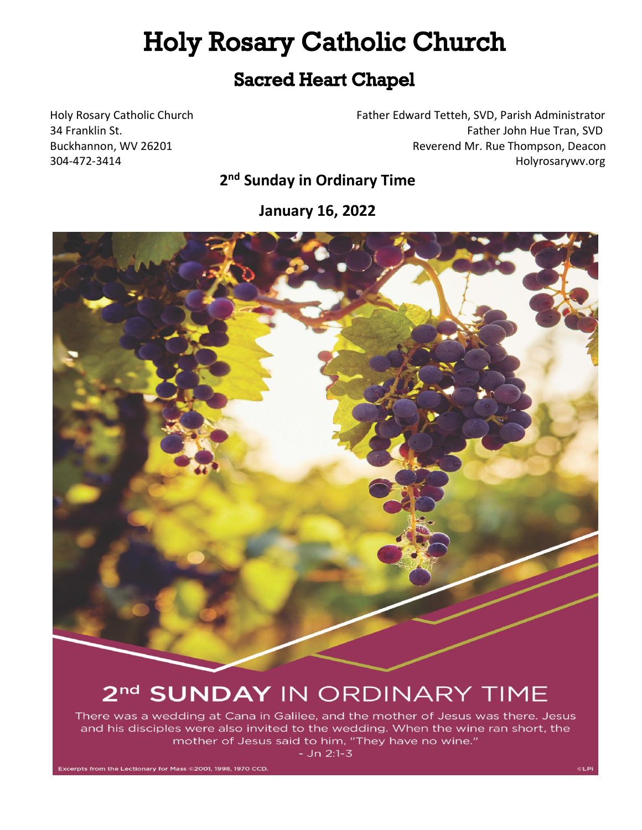# **Holy Rosary Catholic Church**

# **Sacred Heart Chapel**

Holy Rosary Catholic Church Father Edward Tetteh, SVD, Parish Administrator 34 Franklin St. **Father John Hue Tran, SVD** Father John Hue Tran, SVD Buckhannon, WV 26201 **Reverend Mr. Rue Thompson, Deacon** 304-472-3414 Holyrosarywv.org

# **2 nd Sunday in Ordinary Time**

**January 16, 2022**



# 2<sup>nd</sup> SUNDAY IN ORDINARY TIME

There was a wedding at Cana in Galilee, and the mother of Jesus was there. Jesus and his disciples were also invited to the wedding. When the wine ran short, the mother of Jesus said to him, "They have no wine."

 $-$  Jn 2:1-3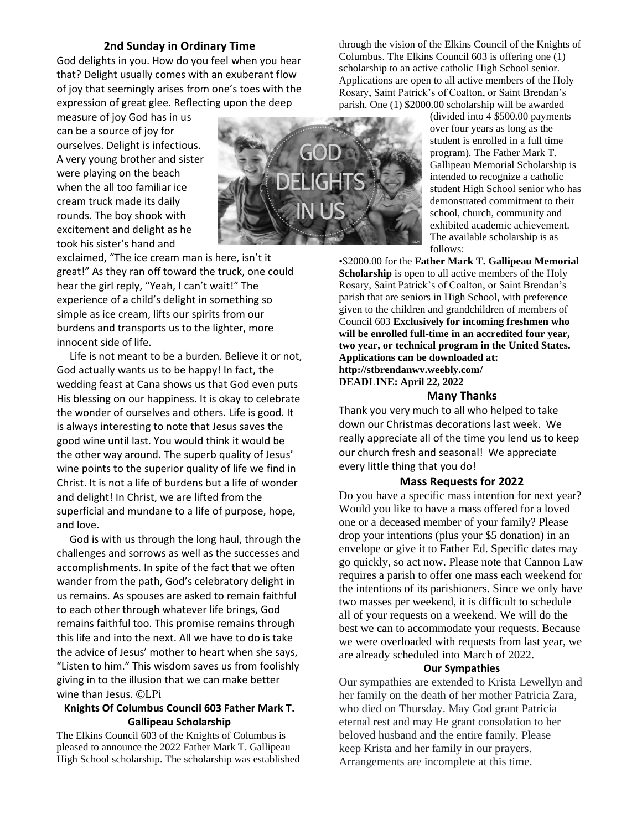#### **2nd Sunday in Ordinary Time**

God delights in you. How do you feel when you hear that? Delight usually comes with an exuberant flow of joy that seemingly arises from one's toes with the expression of great glee. Reflecting upon the deep

measure of joy God has in us can be a source of joy for ourselves. Delight is infectious. A very young brother and sister were playing on the beach when the all too familiar ice cream truck made its daily rounds. The boy shook with excitement and delight as he took his sister's hand and



exclaimed, "The ice cream man is here, isn't it great!" As they ran off toward the truck, one could hear the girl reply, "Yeah, I can't wait!" The experience of a child's delight in something so simple as ice cream, lifts our spirits from our burdens and transports us to the lighter, more innocent side of life.

 Life is not meant to be a burden. Believe it or not, God actually wants us to be happy! In fact, the wedding feast at Cana shows us that God even puts His blessing on our happiness. It is okay to celebrate the wonder of ourselves and others. Life is good. It is always interesting to note that Jesus saves the good wine until last. You would think it would be the other way around. The superb quality of Jesus' wine points to the superior quality of life we find in Christ. It is not a life of burdens but a life of wonder and delight! In Christ, we are lifted from the superficial and mundane to a life of purpose, hope, and love.

 God is with us through the long haul, through the challenges and sorrows as well as the successes and accomplishments. In spite of the fact that we often wander from the path, God's celebratory delight in us remains. As spouses are asked to remain faithful to each other through whatever life brings, God remains faithful too. This promise remains through this life and into the next. All we have to do is take the advice of Jesus' mother to heart when she says, "Listen to him." This wisdom saves us from foolishly giving in to the illusion that we can make better wine than Jesus. ©LPi

#### **Knights Of Columbus Council 603 Father Mark T. Gallipeau Scholarship**

The Elkins Council 603 of the Knights of Columbus is pleased to announce the 2022 Father Mark T. Gallipeau High School scholarship. The scholarship was established through the vision of the Elkins Council of the Knights of Columbus. The Elkins Council 603 is offering one (1) scholarship to an active catholic High School senior. Applications are open to all active members of the Holy Rosary, Saint Patrick's of Coalton, or Saint Brendan's parish. One (1) \$2000.00 scholarship will be awarded

(divided into 4 \$500.00 payments over four years as long as the student is enrolled in a full time program). The Father Mark T. Gallipeau Memorial Scholarship is intended to recognize a catholic student High School senior who has demonstrated commitment to their school, church, community and exhibited academic achievement. The available scholarship is as follows:

•\$2000.00 for the **Father Mark T. Gallipeau Memorial Scholarship** is open to all active members of the Holy Rosary, Saint Patrick's of Coalton, or Saint Brendan's parish that are seniors in High School, with preference given to the children and grandchildren of members of Council 603 **Exclusively for incoming freshmen who will be enrolled full-time in an accredited four year, two year, or technical program in the United States. Applications can be downloaded at: http://stbrendanwv.weebly.com/ DEADLINE: April 22, 2022**

#### **Many Thanks**

Thank you very much to all who helped to take down our Christmas decorations last week. We really appreciate all of the time you lend us to keep our church fresh and seasonal! We appreciate every little thing that you do!

#### **Mass Requests for 2022**

Do you have a specific mass intention for next year? Would you like to have a mass offered for a loved one or a deceased member of your family? Please drop your intentions (plus your \$5 donation) in an envelope or give it to Father Ed. Specific dates may go quickly, so act now. Please note that Cannon Law requires a parish to offer one mass each weekend for the intentions of its parishioners. Since we only have two masses per weekend, it is difficult to schedule all of your requests on a weekend. We will do the best we can to accommodate your requests. Because we were overloaded with requests from last year, we are already scheduled into March of 2022.

#### **Our Sympathies**

Our sympathies are extended to Krista Lewellyn and her family on the death of her mother Patricia Zara, who died on Thursday. May God grant Patricia eternal rest and may He grant consolation to her beloved husband and the entire family. Please keep Krista and her family in our prayers. Arrangements are incomplete at this time.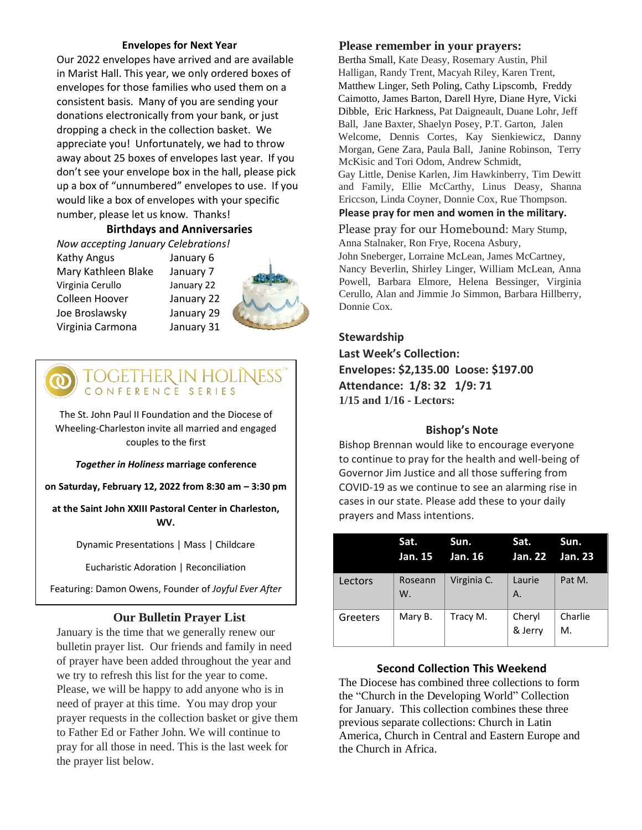#### **Envelopes for Next Year**

Our 2022 envelopes have arrived and are available in Marist Hall. This year, we only ordered boxes of envelopes for those families who used them on a consistent basis. Many of you are sending your donations electronically from your bank, or just dropping a check in the collection basket. We appreciate you! Unfortunately, we had to throw away about 25 boxes of envelopes last year. If you don't see your envelope box in the hall, please pick up a box of "unnumbered" envelopes to use. If you would like a box of envelopes with your specific number, please let us know. Thanks!

## **Birthdays and Anniversaries**

*Now accepting January Celebrations!*

Kathy Angus January 6 Mary Kathleen Blake January 7 Virginia Cerullo January 22 Colleen Hoover January 22 Joe Broslawsky January 29 Virginia Carmona January 31



# TOGETHER IN HOLINESS'<br>CONFERENCE SERIES

The St. John Paul II Foundation and the Diocese of Wheeling-Charleston invite all married and engaged couples to the first

*Together in Holiness* **marriage conference**

**on Saturday, February 12, 2022 from 8:30 am – 3:30 pm**

**at the Saint John XXIII Pastoral Center in Charleston, WV.**

Dynamic Presentations | Mass | Childcare

Eucharistic Adoration | Reconciliation

Featuring: Damon Owens, Founder of *Joyful Ever After*

# **Our Bulletin Prayer List**

January is the time that we generally renew our bulletin prayer list. Our friends and family in need of prayer have been added throughout the year and we try to refresh this list for the year to come. Please, we will be happy to add anyone who is in need of prayer at this time. You may drop your prayer requests in the collection basket or give them to Father Ed or Father John. We will continue to pray for all those in need. This is the last week for the prayer list below.

### **Please remember in your prayers:**

Bertha Small, Kate Deasy, Rosemary Austin, Phil Halligan, Randy Trent, Macyah Riley, Karen Trent, Matthew Linger, Seth Poling, Cathy Lipscomb, Freddy Caimotto, James Barton, Darell Hyre, Diane Hyre, Vicki Dibble, Eric Harkness, Pat Daigneault, Duane Lohr, Jeff Ball, Jane Baxter, Shaelyn Posey, P.T. Garton, Jalen Welcome, Dennis Cortes, Kay Sienkiewicz, Danny Morgan, Gene Zara, Paula Ball, Janine Robinson, Terry McKisic and Tori Odom, Andrew Schmidt, Gay Little, Denise Karlen, Jim Hawkinberry, Tim Dewitt and Family, Ellie McCarthy, Linus Deasy, Shanna Ericcson, Linda Coyner, Donnie Cox, Rue Thompson.

**Please pray for men and women in the military.**

Please pray for our Homebound: Mary Stump,

Anna Stalnaker, Ron Frye, Rocena Asbury, John Sneberger, Lorraine McLean, James McCartney, Nancy Beverlin, Shirley Linger, William McLean, Anna Powell, Barbara Elmore, Helena Bessinger, Virginia Cerullo, Alan and Jimmie Jo Simmon, Barbara Hillberry, Donnie Cox.

### **Stewardship**

**Last Week's Collection: Envelopes: \$2,135.00 Loose: \$197.00 Attendance: 1/8: 32 1/9: 71 1/15 and 1/16 - Lectors:** 

## **Bishop's Note**

Bishop Brennan would like to encourage everyone to continue to pray for the health and well-being of Governor Jim Justice and all those suffering from COVID-19 as we continue to see an alarming rise in cases in our state. Please add these to your daily prayers and Mass intentions.

|          | Sat.<br>Jan. 15 | Sun.<br>Jan. 16 | Sat.<br>Jan. 22 Jan. 23 | Sun.          |
|----------|-----------------|-----------------|-------------------------|---------------|
| Lectors  | Roseann<br>W.   | Virginia C.     | Laurie<br>A.            | Pat M.        |
| Greeters | Mary B.         | Tracy M.        | Cheryl<br>& Jerry       | Charlie<br>М. |

## **Second Collection This Weekend**

The Diocese has combined three collections to form the "Church in the Developing World" Collection for January. This collection combines these three previous separate collections: Church in Latin America, Church in Central and Eastern Europe and the Church in Africa.